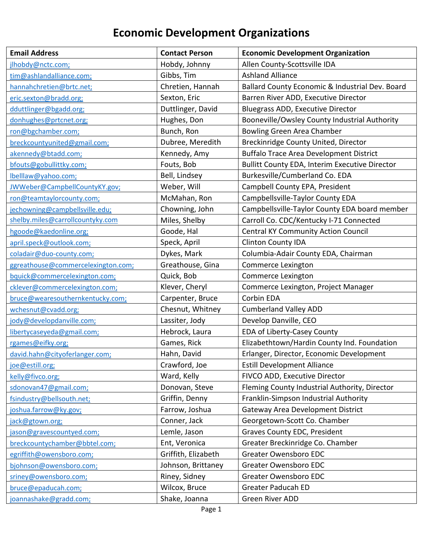## **Economic Development Organizations**

| <b>Email Address</b>               | <b>Contact Person</b> | <b>Economic Development Organization</b>        |
|------------------------------------|-----------------------|-------------------------------------------------|
| jlhobdy@nctc.com;                  | Hobdy, Johnny         | Allen County-Scottsville IDA                    |
| tim@ashlandalliance.com;           | Gibbs, Tim            | <b>Ashland Alliance</b>                         |
| hannahchretien@brtc.net;           | Chretien, Hannah      | Ballard County Economic & Industrial Dev. Board |
| eric.sexton@bradd.org;             | Sexton, Eric          | Barren River ADD, Executive Director            |
| dduttlinger@bgadd.org;             | Duttlinger, David     | <b>Bluegrass ADD, Executive Director</b>        |
| donhughes@prtcnet.org;             | Hughes, Don           | Booneville/Owsley County Industrial Authority   |
| ron@bgchamber.com;                 | Bunch, Ron            | Bowling Green Area Chamber                      |
| breckcountyunited@gmail.com;       | Dubree, Meredith      | Breckinridge County United, Director            |
| akennedy@btadd.com;                | Kennedy, Amy          | <b>Buffalo Trace Area Development District</b>  |
| bfouts@gobullittky.com;            | Fouts, Bob            | Bullitt County EDA, Interim Executive Director  |
| lbelllaw@yahoo.com;                | Bell, Lindsey         | Burkesville/Cumberland Co. EDA                  |
| JWWeber@CampbellCountyKY.gov;      | Weber, Will           | Campbell County EPA, President                  |
| ron@teamtaylorcounty.com;          | McMahan, Ron          | Campbellsville-Taylor County EDA                |
| jechowning@campbellsville.edu;     | Chowning, John        | Campbellsville-Taylor County EDA board member   |
| shelby.miles@carrollcountyky.com   | Miles, Shelby         | Carroll Co. CDC/Kentucky I-71 Connected         |
| hgoode@kaedonline.org;             | Goode, Hal            | <b>Central KY Community Action Council</b>      |
| april.speck@outlook.com;           | Speck, April          | <b>Clinton County IDA</b>                       |
| coladair@duo-county.com;           | Dykes, Mark           | Columbia-Adair County EDA, Chairman             |
| ggreathouse@commercelexington.com; | Greathouse, Gina      | Commerce Lexington                              |
| bquick@commercelexington.com;      | Quick, Bob            | Commerce Lexington                              |
| cklever@commercelexington.com;     | Klever, Cheryl        | Commerce Lexington, Project Manager             |
| bruce@wearesouthernkentucky.com;   | Carpenter, Bruce      | Corbin EDA                                      |
| wchesnut@cvadd.org;                | Chesnut, Whitney      | <b>Cumberland Valley ADD</b>                    |
| jody@developdanville.com;          | Lassiter, Jody        | Develop Danville, CEO                           |
| libertycaseyeda@gmail.com;         | Hebrock, Laura        | EDA of Liberty-Casey County                     |
| rgames@eifky.org;                  | Games, Rick           | Elizabethtown/Hardin County Ind. Foundation     |
| david.hahn@cityoferlanger.com;     | Hahn, David           | Erlanger, Director, Economic Development        |
| joe@estill.org;                    | Crawford, Joe         | <b>Estill Development Alliance</b>              |
| kelly@fivco.org;                   | Ward, Kelly           | FIVCO ADD, Executive Director                   |
| sdonovan47@gmail.com;              | Donovan, Steve        | Fleming County Industrial Authority, Director   |
| fsindustry@bellsouth.net;          | Griffin, Denny        | Franklin-Simpson Industrial Authority           |
| joshua.farrow@ky.gov;              | Farrow, Joshua        | Gateway Area Development District               |
| jack@gtown.org;                    | Conner, Jack          | Georgetown-Scott Co. Chamber                    |
| jason@gravescountyed.com;          | Lemle, Jason          | Graves County EDC, President                    |
| breckcountychamber@bbtel.com;      | Ent, Veronica         | Greater Breckinridge Co. Chamber                |
| egriffith@owensboro.com;           | Griffith, Elizabeth   | Greater Owensboro EDC                           |
| bjohnson@owensboro.com;            | Johnson, Brittaney    | Greater Owensboro EDC                           |
| sriney@owensboro.com;              | Riney, Sidney         | Greater Owensboro EDC                           |
| bruce@epaducah.com;                | Wilcox, Bruce         | <b>Greater Paducah ED</b>                       |
| joannashake@gradd.com;             | Shake, Joanna         | Green River ADD                                 |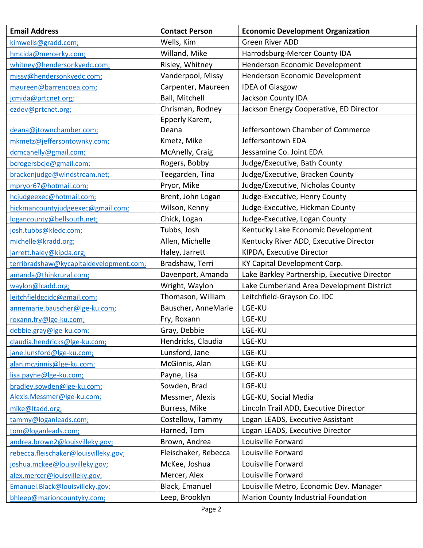| <b>Email Address</b>                    | <b>Contact Person</b> | <b>Economic Development Organization</b>     |
|-----------------------------------------|-----------------------|----------------------------------------------|
| kimwells@gradd.com;                     | Wells, Kim            | <b>Green River ADD</b>                       |
| hmcida@mercerky.com;                    | Willand, Mike         | Harrodsburg-Mercer County IDA                |
| whitney@hendersonkyedc.com;             | Risley, Whitney       | Henderson Economic Development               |
| missy@hendersonkyedc.com;               | Vanderpool, Missy     | Henderson Economic Development               |
| maureen@barrencoea.com;                 | Carpenter, Maureen    | <b>IDEA of Glasgow</b>                       |
| jcmida@prtcnet.org;                     | <b>Ball, Mitchell</b> | Jackson County IDA                           |
| ezdev@prtcnet.org;                      | Chrisman, Rodney      | Jackson Energy Cooperative, ED Director      |
|                                         | Epperly Karem,        |                                              |
| deana@jtownchamber.com;                 | Deana                 | Jeffersontown Chamber of Commerce            |
| mkmetz@jeffersontownky.com;             | Kmetz, Mike           | Jeffersontown EDA                            |
| dcmcanelly@gmail.com;                   | McAnelly, Craig       | Jessamine Co. Joint EDA                      |
| bcrogersbcje@gmail.com;                 | Rogers, Bobby         | Judge/Executive, Bath County                 |
| brackenjudge@windstream.net;            | Teegarden, Tina       | Judge/Executive, Bracken County              |
| mpryor67@hotmail.com;                   | Pryor, Mike           | Judge/Executive, Nicholas County             |
| hcjudgeexec@hotmail.com;                | Brent, John Logan     | Judge-Executive, Henry County                |
| hickmancountyjudgeexec@gmail.com;       | Wilson, Kenny         | Judge-Executive, Hickman County              |
| logancounty@bellsouth.net;              | Chick, Logan          | Judge-Executive, Logan County                |
| josh.tubbs@kledc.com;                   | Tubbs, Josh           | Kentucky Lake Economic Development           |
| michelle@kradd.org;                     | Allen, Michelle       | Kentucky River ADD, Executive Director       |
| jarrett.haley@kipda.org;                | Haley, Jarrett        | KIPDA, Executive Director                    |
| terribradshaw@kycapitaldevelopment.com; | Bradshaw, Terri       | KY Capital Development Corp.                 |
| amanda@thinkrural.com;                  | Davenport, Amanda     | Lake Barkley Partnership, Executive Director |
| waylon@lcadd.org;                       | Wright, Waylon        | Lake Cumberland Area Development District    |
| leitchfieldgcidc@gmail.com;             | Thomason, William     | Leitchfield-Grayson Co. IDC                  |
| annemarie.bauscher@lge-ku.com;          | Bauscher, AnneMarie   | LGE-KU                                       |
| roxann.fry@lge-ku.com;                  | Fry, Roxann           | LGE-KU                                       |
| debbie.gray@lge-ku.com;                 | Gray, Debbie          | LGE-KU                                       |
| claudia.hendricks@lge-ku.com;           | Hendricks, Claudia    | LGE-KU                                       |
| jane.lunsford@lge-ku.com;               | Lunsford, Jane        | LGE-KU                                       |
| alan.mcginnis@lge-ku.com;               | McGinnis, Alan        | LGE-KU                                       |
| lisa.payne@lge-ku.com;                  | Payne, Lisa           | LGE-KU                                       |
| bradley.sowden@lge-ku.com;              | Sowden, Brad          | LGE-KU                                       |
| Alexis.Messmer@lge-ku.com;              | Messmer, Alexis       | LGE-KU, Social Media                         |
| mike@Itadd.org;                         | Burress, Mike         | Lincoln Trail ADD, Executive Director        |
| tammy@loganleads.com;                   | Costellow, Tammy      | Logan LEADS, Executive Assistant             |
| tom@loganleads.com;                     | Harned, Tom           | Logan LEADS, Executive Director              |
| andrea.brown2@louisvilleky.gov;         | Brown, Andrea         | Louisville Forward                           |
| rebecca.fleischaker@louisvilleky.gov;   | Fleischaker, Rebecca  | Louisville Forward                           |
| joshua.mckee@louisvilleky.gov;          | McKee, Joshua         | Louisville Forward                           |
| alex.mercer@louisvilleky.gov;           | Mercer, Alex          | Louisville Forward                           |
| Emanuel.Black@louisvilleky.gov;         | Black, Emanuel        | Louisville Metro, Economic Dev. Manager      |
| bhleep@marioncountyky.com;              | Leep, Brooklyn        | Marion County Industrial Foundation          |